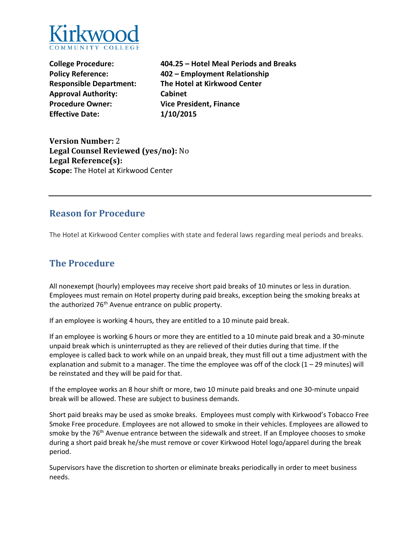

**Approval Authority: Cabinet Procedure Owner: Vice President, Finance Effective Date: 1/10/2015** 

**College Procedure: 404.25 – Hotel Meal Periods and Breaks Policy Reference: 402 – Employment Relationship Responsible Department: The Hotel at Kirkwood Center** 

**Version Number:** 2 **Legal Counsel Reviewed (yes/no):** No **Legal Reference(s): Scope:** The Hotel at Kirkwood Center

### **Reason for Procedure**

The Hotel at Kirkwood Center complies with state and federal laws regarding meal periods and breaks.

## **The Procedure**

All nonexempt (hourly) employees may receive short paid breaks of 10 minutes or less in duration. Employees must remain on Hotel property during paid breaks, exception being the smoking breaks at the authorized 76<sup>th</sup> Avenue entrance on public property.

If an employee is working 4 hours, they are entitled to a 10 minute paid break.

If an employee is working 6 hours or more they are entitled to a 10 minute paid break and a 30-minute unpaid break which is uninterrupted as they are relieved of their duties during that time. If the employee is called back to work while on an unpaid break, they must fill out a time adjustment with the explanation and submit to a manager. The time the employee was off of the clock  $(1 - 29$  minutes) will be reinstated and they will be paid for that.

If the employee works an 8 hour shift or more, two 10 minute paid breaks and one 30-minute unpaid break will be allowed. These are subject to business demands.

Short paid breaks may be used as smoke breaks. Employees must comply with Kirkwood's Tobacco Free Smoke Free procedure. Employees are not allowed to smoke in their vehicles. Employees are allowed to smoke by the 76<sup>th</sup> Avenue entrance between the sidewalk and street. If an Employee chooses to smoke during a short paid break he/she must remove or cover Kirkwood Hotel logo/apparel during the break period.

Supervisors have the discretion to shorten or eliminate breaks periodically in order to meet business needs.